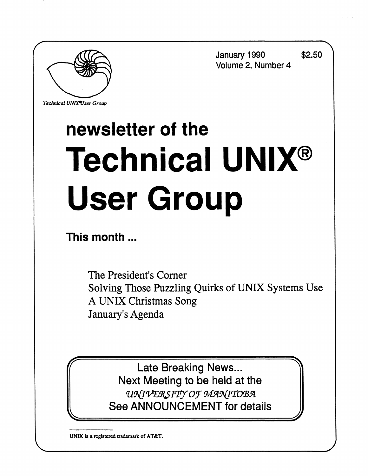

*Technical UNIXVser Group* 

**January 1990 \$2.50 Volume 2, Number 4** 

# **newsletter of the Technical UNIX® User Group**

**This month**...

The President's Corner Solving Those Puzzling Quirks of UNIX Systems Use A UNIX Christmas Song January's Agenda

Late Breaking News... Next Meeting to be held at the *wuvmsYPf oj MwHnoBR*  See ANNOUNCEMENT for details

**UNIX is a registered trademark of AT&T.**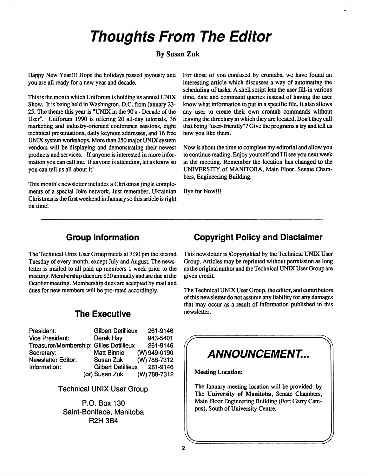## **Thoughts From The Editor**

## **By Susan Zuk**

Happy New Year!!! Hope the holidays passed joyously and you are all ready for a new year and decade.

This is the month which Uniforum is holding its annual UNIX Show. It is being held in Washington, D.C. from January 23- 25. The theme this year is "UNIX in the 90's - Decade of the User". Uniforum 1990 is offering 20 all-day tutorials, 36 marketing and industry-oriented conference sessions, eight technical presentations, daily keynote addresses, and 16 free UNIX system workshops. More than 250 major UNIX system vendors will be displaying and demonstrating their newest products and services. If anyone is interested in more information you can call me. If anyone is attending, let us know so you can tell us all about it!

This month's newsletter includes a Christmas jingle complements of a special Joke network. Just remember, Ukrainian Christmas is the first weekend in January so this article is right on time!

For those of you confused by crontabs, we have found an interesting article which discusses a way of automating the scheduling of tasks. A shell script lets the user fill-in various time, date and command queries instead of having the user know what information to put in a specific file. It also allows any user to create their own crontab commands without leaving the directory in which they are located. Don't they call that being "user-friendly"? Give the programs a try and tell us how you like them.

Now is about the time to complete my editorial and allow you to continue reading. Enjoy yourself and I'll see you next week at the meeting. Remember the location has changed to the UNIVERSITY of MANITOBA, Main Floor, Senate Chambers, Engineering Building.

Bye for Now!!!

## **Group Information**

The Technical Unix User Group meets at 7:30 pm the second Tuesday of every month, except July and August. The newsletter is mailed to all paid up members 1 week prior to the meeting. Membership dues are \$20 annually and are due at the October meeting. Membership dues are accepted by mail and dues for new members will be pro-rated accordingly.

## **The Executive**

| President:                              | <b>Gilbert Detillieux</b> | 261-9146     |
|-----------------------------------------|---------------------------|--------------|
| <b>Vice President:</b>                  | Derek Hay                 | 943-5401     |
| Treasurer/Membership: Gilles Detillieux |                           | 261-9146     |
| Secretary:                              | <b>Matt Binnie</b>        | (W) 949-0190 |
| <b>Newsletter Editor:</b>               | Susan Zuk                 | (W) 788-7312 |
| Information:                            | <b>Gilbert Detillieux</b> | 261-9146     |
|                                         | (or) Susan Zuk            | (W) 788-7312 |

**Technical UNIX User Group** 

**P.O. Box 130 Saint-Boniface, Manitoba R2H 3B4** 

## **Copyright Policy and Disclaimer**

This newsletter is ©opyrighted by the Technical UNIX User Group. Articles may be reprinted without permission as long as the original author and the Technical UNIX User Group are given credit

The Technical UNIX User Group, the editor, and contributors of this newsletter do not assume any liability for any damages that may occur as a result of information published in this newsletter.

## $\begin{bmatrix} \overbrace{\hspace{5em}} \textbf{ANNOUNCEMENT...} \end{bmatrix}$

**Meeting Location:** 

The January meeting location will be provided by The **University of Manitoba,** Senate Chambers, Main Floor Engineering Building (Fort Garry Campus), South of University Centre.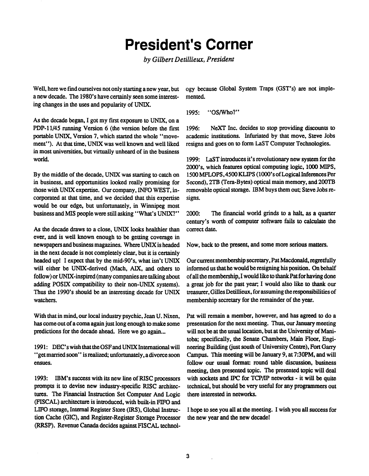## **President's Corner**

*by Gilbert Detillieux, President* 

**Well, here we find ourselves not only starting a new year, but a new decade. The 1980's have certainly seen some interesting changes in the uses and popularity of UNIX.** 

**As the decade began, I got my first exposure to UNIX, on a PDP-11/45 running Version 6 (the version before the first portable UNIX, Version 7, which started the whole "move**ment"). At that time, UNIX was well known and well liked **in most universities, but virtually unheard of in the business world.** 

**By the middle of the decade, UNIX was starting to catch on in business, and opportunities looked really promising for those with UNIX expertise. Our company, INFO WEST, incorporated at that time, and we decided that this expertise would be our edge, but unfortunately, in Winnipeg most business and MIS people were still asking' 'What's UNIX?"** 

**As the decade draws to a close, UNIX looks healthier than ever, and is well known enough to be getting coverage in newspapers and business magazines. Where UNIX is headed in the next decade is not completely clear, but it is certainly headed up! I expect that by the mid-90's, what isn't UNIX**  will either be UNIX-derived (Mach, AIX, and others to **follow) or UNIX-inspired (many companies are talking about adding POSK compatibility to their non-UNIX systems). Thus the 1990's should be an interesting decade for UNIX watchers.** 

**With that in mind, our local industry psychic, Jean U. Nixen, has come out of a coma again just long enough to make some predictions for the decade ahead. Here we go again...** 

**1991: DEC'swishthattheOSFandUNIXInternationalwill \* 'get married soon" is realized; unfortunately, a divorce soon ensues.** 

**1993: IBM's success with its new line of RISC processors prompts it to devise new industry-specific RISC architectures. The Financial Instruction Set Computer And Logic (FISCAL) architecture is introduced, with built-in FIFO and LIFO storage, Internal Register Store (IRS), Global Instruction Cache (GIC), and Register-Register Storage Processor (RRSP). Revenue Canada decides against FISCAL technol-** **ogy because Global System Traps (GST's) are not implemented.** 

**1995: "OS/Who?"** 

**1996: NeXT Inc. decides to stop providing discounts to academic institutions. Infuriated by that move, Steve Jobs resigns and goes on to form LaST Computer Technologies.** 

**1999: LaST introduces it's revolutionary new system for the 2000's, which features optical computing logic, 1000 MIPS, 1500 MFLOPS,4500 KLIPS (1000's of Logical Inferences Per Second), 2TB (Tera-Bytes) optical main memory, and 200TB removable optical storage. IBM buys them out; Steve Jobs resigns.** 

**2000: The financial world grinds to a halt, as a quarter century's worth of computer software fails to calculate the correct date.** 

**Now, back to the present, and some more serious matters.** 

**Our current membership secretary, Pat Macdonald, regretfully informed us that he would be resigning his position. On behalf of all the membership, I would like to thankPat for having done a great job for the past year; I would also like to thank our treasurer, Gilles Detillieux, for assuming the responsibilities of membership secretary for the remainder of the year.** 

**Pat will remain a member, however, and has agreed to do a presentation for the next meeting. Thus, our January meeting will not be at the usual location, but at the University of Manitoba; specifically, the Senate Chambers, Main Floor, Engineering Building (just south of University Centre), Fort Garry Campus. This meeting will be January 9, at 7:30PM, and will follow our usual format: round table discussion, business meeting, then presented topic. The presented topic will deal with sockets and IPC for TCP/IP networks - it will be quite technical, but should be very useful for any programmers out there interested in networks.** 

**I hope to see you all at the meeting. I wish you all success for the new year and the new decade!**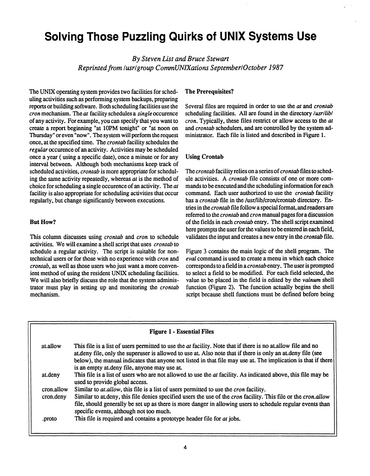## **Solving Those Puzzling Quirks of UNIX Systems Use**

*By Steven List and Bruce Stewart Reprinted from lusrl group CommUNIXations September/October 1987* 

The UNIX operating system provides two facilities for scheduling activities such as performing system backups, preparing reports or building software. Both scheduling facilities use the *cron* mechanism. The *at* facility schedules a *single* occurence of any activity. For example, you can specify that you want to create a report beginning "at 10PM tonight" or "at noon on Thursday" or even "now". The system will perform the request once, at the specified time. The *crontab* facility schedules the *regular* occurence of an activity. Activities may be scheduled once a year (using a specific date), once a minute or for any interval between. Although both mechanisms keep track of scheduled activities, *crontab* is more appropriate for scheduling the same activity repeatedly, whereas *at* is the method of choice for scheduling a single occurence of an activity. The *at*  facility is also appropriate for scheduling activities that occur regularly, but change significantly between executions.

### **But How?**

This column discusses using *crontab* and *cron* to schedule activities. We will examine a shell script that uses *crontab to*  schedule a regular activity. The script is suitable for nontechnical users or for those with no experience with *cron* and *crontab,* as well as those users who just want a more convenient method of using the resident UNIX scheduling facilities. We will also briefly discuss the role that the system administrator must play in setting up and monitoring the *crontab*  mechanism.

## **The Prerequisites?**

Several files are required in order to use the *at* and *crontab*  scheduling facilities. All are found in the directory *lusrllibl cron.* Typically, these files restrict or allow access to the *at*  and *crontab* schedulers, and are controlled by the system administrator. Each file is listed and described in Figure 1.

### **Using Crontab**

The *crontab* facility relies on a series of *crontab* files to schedule activities. A *crontab* file consists of one or more commands to be executed and the scheduling information for each command. Each user authorized to use the *crontab* facility has a *crontab* file in the /usr/lib/cron/crontab directory. Entries in the *crontab* file follow a special format, andreaders are referred to the *crontab* and *cron* manual pages for a discussion of the fields in each *crontab* entry. The shell script examined here prompts the user for the values to be entered in each field, validates the input and creates a new entry in the *crontab* file.

Figure 3 contains the main logic of the shell program. The *eval* command is used to create a menu in which each choice corresponds to a field in a *crontab* entry. The user is prompted to select a field to be modified. For each field selected, the value to be placed in the field is edited by the *valnum* shell function (Figure 2). The function actually begins the shell script because shell functions must be defined before being

| <b>Figure 1 - Essential Files</b> |                                                                                                                                                                                                                                                                                                                                                                                                     |  |
|-----------------------------------|-----------------------------------------------------------------------------------------------------------------------------------------------------------------------------------------------------------------------------------------------------------------------------------------------------------------------------------------------------------------------------------------------------|--|
| at.allow                          | This file is a list of users permitted to use the <i>at</i> facility. Note that if there is no at allow file and no<br>at deny file, only the superuser is allowed to use at. Also note that if there is only an at deny file (see<br>below), the manual indicates that anyone not listed in that file may use at. The implication is that if there<br>is an empty at deny file, anyone may use at. |  |
| at.deny                           | This file is a list of users who are not allowed to use the <i>at</i> facility. As indicated above, this file may be<br>used to provide global access.                                                                                                                                                                                                                                              |  |
| cron.allow                        | Similar to at allow, this file is a list of users permitted to use the cron facility.                                                                                                                                                                                                                                                                                                               |  |
| cron.deny                         | Similar to at deny, this file denies specified users the use of the <i>cron</i> facility. This file or the <i>cron.allow</i><br>file, should generally be set up as there is more danger in allowing users to schedule regular events than<br>specific events, although not too much.                                                                                                               |  |
| .proto                            | This file is required and contains a prototype header file for at jobs.                                                                                                                                                                                                                                                                                                                             |  |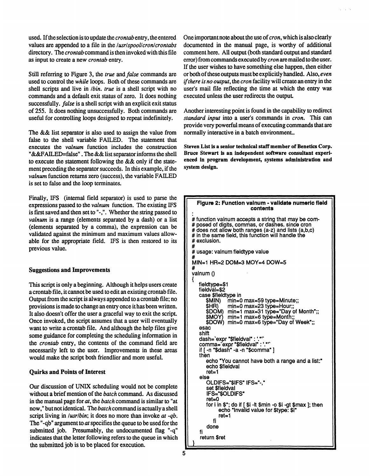used. If the selection is to update the *crontab* entry, the entered values are appended to a file in the */usrlspool/cron/crontabs*  directory. The *crontab* command is then invoked with this file as input to create a new *crontab* entry.

Still referring to Figure 3, the *true and false* commands are used to control the *while* loops. Both of these commands are shell scripts and live in */bin. true* is a shell script with no commands and a default exit status of zero. It does nothing successfully, *false* is a shell script with an explicit exit status of 255. It does nothing unsuccessfully. Both commands are useful for controlling loops designed to repeat indefinitely.

The && list separator is also used to assign the value from false to the shell variable FAILED. The statement that executes the *valnum* function includes the construction "&&FAILED=false". The && list separator informs the shell to execute the statement following the && only if the statement preceding the separator succeeds. In this example, if the *valnum* function returns zero (success), the variable FAILED is set to false and the loop terminates.

Finally, IFS (internal field separator) is used to parse the expressions passed to the *valnum* function. The existing IFS is first saved and then set to"-,". Whether the string passed to *valnum* is a range (elements separated by a dash) or a list (elements separated by a comma), the expression can be validated against the minimum and maximum values allowable for the appropriate field. IFS is then restored to its previous value.

#### **Suggestions and Improvements**

This script is only a beginning. Although it helps users create a crontab file, it cannot be used to edit an existing crontab file. Output from the script is always appended to a crontab file; no provisions is made to change an entry once it has been written. It also doesn't offer the user a graceful way to exit the script. Once invoked, the script assumes that a user will eventually want to write a crontab file. And although the help files give some guidance for completing the scheduling information in the *crontab* entry, the contents of the command field are necessarily left to the user. Improvements in these areas would make the script both friendlier and more useful.

#### **Quirks and Points of Interest**

Our discussion of UNIX scheduling would not be complete without a brief mention of the *batch* command. As discussed in the manual page for *at,* the *batch* command is similar to "at now," but not identical. The *batch* command is actually a shell script living in */usr/bin;* it does no more than invoke *at -qb.*  The "-qb" argument to *at* specifies the queue to be used for the submitted job. Presumably, the undocumented flag "-q" indicates that the letter following refers to the queue in which the submitted job is to be placed for execution.

One important note about the use of *cron*, which is also clearly documented in the manual page, is worthy of additional comment here. All output (both standard output and standard error) from commands executed by *cron* are mailed to the user. If the user wishes to have something else happen, then either or both of these outputs must be explicitly handled. Also, *even if there is no output,* the *cron* facility will create an entry in the user's mail file reflecting the time at which the entry was executed unless the user redirects the output

Another interesting point is found in the capability to redirect *standard input* into a user's commands in *cron.* This can provide very powerful means of executing commands that are normally interactive in a batch environment..

**Steven List is a senior technical staff member of Benetics Corp. Bruce Stewart is an independent software consultant experienced in program development, systems administration and system design.** 

```
Figure 2: Function valnum - validate numeric field 
                              contents 
# function valnum accepts a string that may be com-
# posed of digits, commas, or dashes, since cron 
# in the same field, this function will handle the
# exclusion.
# exclusion. 
# 
# usage: valnum fieldtype value 
MIN=1 HR=2 DOM=3 MOY=4 DOW=5
\#valnum()valnum () 
    neiurype=$1<br>fieldval−¢2
    fieldval=$2 
    case priektype in<br>Case priektype in
       $MIN) min=0 max=59 type=Minute;;<br>$HR) min=0 max=23 type=Hour;;
       $DOM) min=1 max=31 type="Day of Month";;<br>$MOY) min=1 max=6 type=Month;;
                 min=1 max=6 type=Month;
   $DOW) min=0 max=6 type="Day of Week";;<br>esac
       \mathbf{B}DOW) mini-day of \mathbf{B}shift<br>dash=`expr "$fieldval" : '.*'`
    shift 
daslWexpr "$fieldvar : \*n
   if [ -n "$dash" -a -n "$comma" ]<br>then
    if [ -n "$dash" -a -n "$comma" ] 
    theory
       echo "yneithiau"<br>rat=1
       echo $f ieldval 
   else<br>"CLDIFS="$IFS" IFS="-."
       set $fieldval
       IFS="$OLDIFS"<br>ret=0
       for i in \frac{1}{2}; do if \frac{1}{2} \frac{1}{2} \frac{1}{2} \frac{1}{2} \frac{1}{2} \frac{1}{2} \frac{1}{2} \frac{1}{2} \frac{1}{2} \frac{1}{2} \frac{1}{2} \frac{1}{2} \frac{1}{2} \frac{1}{2} \frac{1}{2} \frac{1}{2} \frac{1}{2} \frac{1}{2} \frac{1}{2} \fracecho "Invalid value for $type: $i"
             ret = 1fi<sup>\cdots</sup>
   fi
           i s
        done 
    fi
```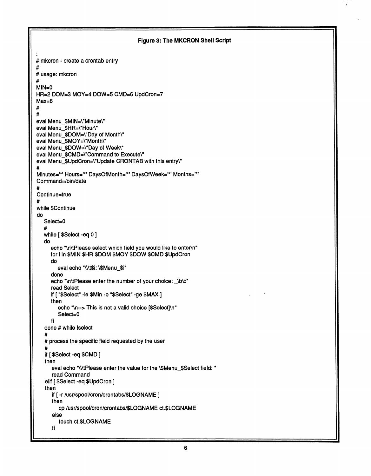```
Figure 3: The MKCRON Shell Script 
 # mkcron - create a crontab entry 
 # 
 # usage: mkcron 
 # 
 MIN=0 
 HR=2 DOM=3 MOY=4 DOW=5 CMD=6 UpdCron=7 
 Max=8 
 # 
  # 
 eval Menu_$MIN=\"Minute\"
 eval Menu $HR=\"Hour\"
 eval Menu $DOM=\"Day of Month\"
 eval Menu_$MOY=\"Month\"
 eval Menu_$DOW=\"Day of Week\"
 eval Menu_$CMD=\"Command to Execute\"
 eval Menu_$UpdCron=\"Update CRONTAB with this entry\"
 # 
 Minutes='*' Hours='*' DaysOfMonth='*' DaysOfWeek='*' Months='*' 
 Command=/bin/date 
 # 
 Continue=true 
 # 
 while $Continue 
 do 
    Select=0 
    # 
    while [ $Select -eq 0 ] 
    do 
       "\n\tPlease select which field you would like to enter\n"
       for i in $MIN $HR $DOM $MOY $DOW $CMD $UpdCron 
       do 
          eval echo "\\\t$i: \$Menu_$i" 
       done 
       "\n\tPlease enter the number of your choice: _\b\c"
       read Select 
        if [ "$Select" -le $Min -o "$Select" -ge $MAX ]<br>..
       then 
          echo "\n--> This is not a valid choice [$Select]\n"
          Select=0 
        fi 
     done # while Iselect 
     # 
     # process the specific field requested by the user 
     # 
     ii [ $Qeiect -eq $OMD ]<br>"
    then 
        eval echo "\\\tPlease enter the value for the \$Menu_$Select field: "<br>read Command
        read Command<br>Lecalest se fil
     elli [ $Oelect -eq $OpdOron ]<br>*hee
     then 
        if [ -r /usr/spool/cron/crontabs/$LOGNAME ] 
\parallel \frac{1}{2}cp /usr/spool/cron/crontabs/$LOGNAME ct.$LOGNAME 
        else 
           touch checognamic
        fi
```
I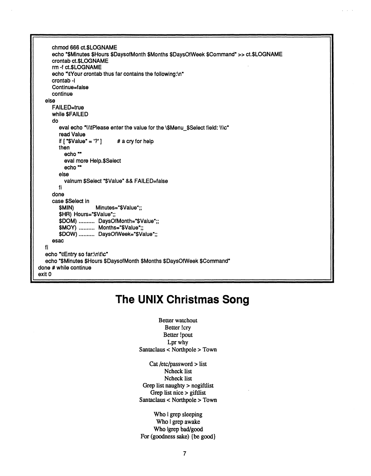**chmod 666 ct.SLOGNAME echo "\$Minutes \$Hours \$DaysofMonth \$Months \$DaysOfWeek \$Command"» ct.\$LOGNAME crontab ct.\$LOGNAME rm -f ct.\$LOGNAME echo ["\tYour](file:///tYour) crontab thus far contains the following:\n" crontab -I Continue=false continue else FAILED=true while \$FAILED do**  eval echo "\\\tPlease enter the value for the \\$Menu\_\$Select field: \\\c" **read Value if**  $[$  "\$Value" = '?' ]  $# a cry$  for help **then echo"" eval more Help.\$Select echo"" else valnum \$Select "\$Value" && FAILED=false fi done case \$Select in \$MIN) Minutes="\$Value";; \$HR) Hours=<sup>M</sup> \$Value";;**  \$DOM) .......... DaysOfMonth="\$Value";; **\$MOY) Months=<sup>M</sup> \$Value";;**  \$DOW) .......... DaysOfWeek="\$Value";; **esac fi echo ["\tEntry](file:///tEntry) so far:\n\t\c" echo "\$Minutes \$Hours \$DaysofMonth \$Months \$DaysOfWeek \$Command" done # while continue exitO** 

## **The UNIX Christmas Song**

**Better watchout Better !cry Better !pout Lpr why Santaclaus < Northpole > Town** 

**Cat /etc/password > list Ncheck list Ncheck list Grep list naughty > nogiftlist Grep list nice > giftlist Santaclaus < Northpole > Town** 

**Who I grep sleeping Who I grep awake Who Igrep bad/good For (goodness sake) {be good}**